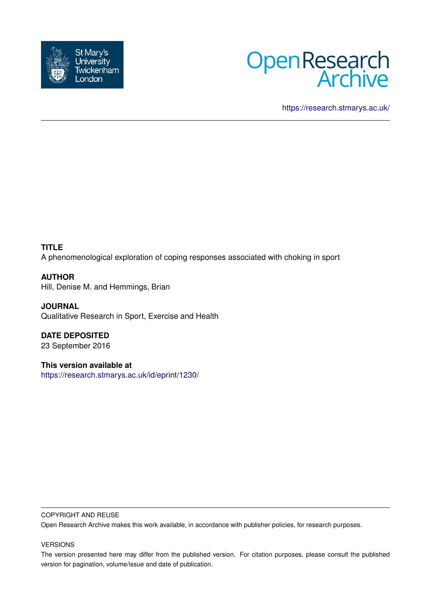



<https://research.stmarys.ac.uk/>

### **TITLE**

A phenomenological exploration of coping responses associated with choking in sport

# **AUTHOR**

Hill, Denise M. and Hemmings, Brian

**JOURNAL** Qualitative Research in Sport, Exercise and Health

**DATE DEPOSITED** 23 September 2016

**This version available at** <https://research.stmarys.ac.uk/id/eprint/1230/>

#### COPYRIGHT AND REUSE

Open Research Archive makes this work available, in accordance with publisher policies, for research purposes.

#### VERSIONS

The version presented here may differ from the published version. For citation purposes, please consult the published version for pagination, volume/issue and date of publication.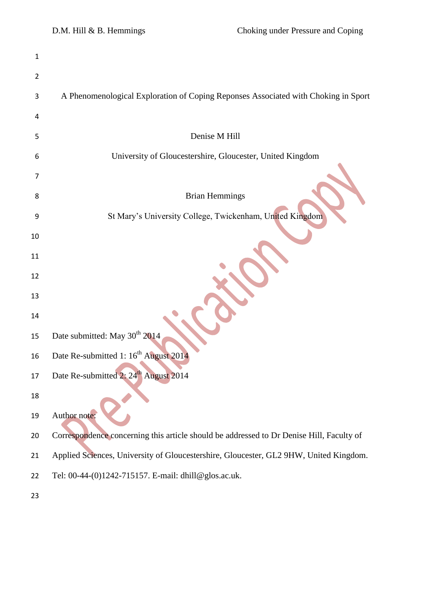| $\mathbf{1}$   |                                                                                          |
|----------------|------------------------------------------------------------------------------------------|
| $\overline{2}$ |                                                                                          |
| 3              | A Phenomenological Exploration of Coping Reponses Associated with Choking in Sport       |
| 4              |                                                                                          |
| 5              | Denise M Hill                                                                            |
| 6              | University of Gloucestershire, Gloucester, United Kingdom                                |
| 7              |                                                                                          |
| 8              | <b>Brian Hemmings</b>                                                                    |
| 9              | St Mary's University College, Twickenham, United Kingdom                                 |
| 10             |                                                                                          |
| 11             |                                                                                          |
| 12             |                                                                                          |
| 13             |                                                                                          |
| 14             |                                                                                          |
| 15             | Date submitted: May 30 <sup>th</sup> 2014                                                |
| 16             | Date Re-submitted 1: 16 <sup>th</sup> August 2014                                        |
| 17             | Date Re-submitted 2: 24 <sup>th</sup> August 2014                                        |
| 18             |                                                                                          |
| 19             | Author note:                                                                             |
| 20             | Correspondence concerning this article should be addressed to Dr Denise Hill, Faculty of |
| 21             | Applied Sciences, University of Gloucestershire, Gloucester, GL2 9HW, United Kingdom.    |
| 22             | Tel: 00-44-(0)1242-715157. E-mail: dhill@glos.ac.uk.                                     |
|                |                                                                                          |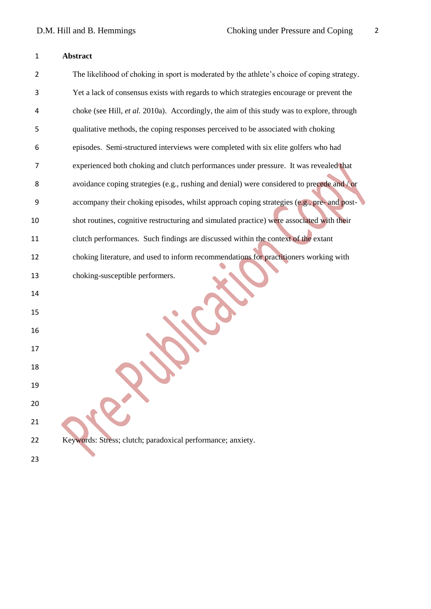# **Abstract**

| $\overline{2}$ | The likelihood of choking in sport is moderated by the athlete's choice of coping strategy. |
|----------------|---------------------------------------------------------------------------------------------|
| 3              | Yet a lack of consensus exists with regards to which strategies encourage or prevent the    |
| 4              | choke (see Hill, et al. 2010a). Accordingly, the aim of this study was to explore, through  |
| 5              | qualitative methods, the coping responses perceived to be associated with choking           |
| 6              | episodes. Semi-structured interviews were completed with six elite golfers who had          |
| 7              | experienced both choking and clutch performances under pressure. It was revealed that       |
| 8              | avoidance coping strategies (e.g., rushing and denial) were considered to precede and / or  |
| 9              | accompany their choking episodes, whilst approach coping strategies (e.g., pre- and post-   |
| 10             | shot routines, cognitive restructuring and simulated practice) were associated with their   |
| 11             | clutch performances. Such findings are discussed within the context of the extant           |
| 12             | choking literature, and used to inform recommendations for practitioners working with       |
| 13             | choking-susceptible performers.                                                             |
| 14             |                                                                                             |
| 15             |                                                                                             |
| 16             |                                                                                             |
| 17             |                                                                                             |
| 18             |                                                                                             |
| 19             |                                                                                             |
| 20             |                                                                                             |
| 21             |                                                                                             |
| 22             | Keywords: Stress; clutch; paradoxical performance; anxiety.                                 |
| 23             |                                                                                             |
|                |                                                                                             |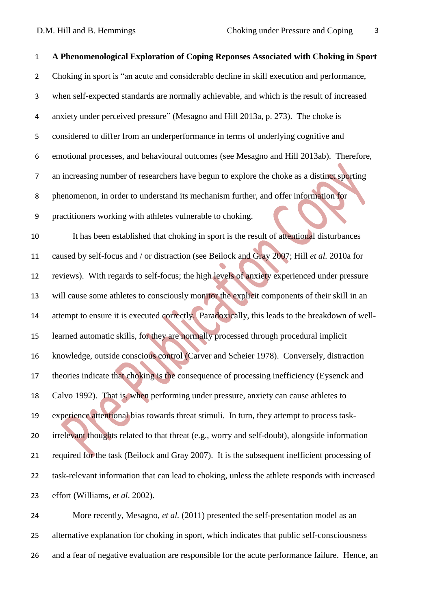# **A Phenomenological Exploration of Coping Reponses Associated with Choking in Sport** Choking in sport is "an acute and considerable decline in skill execution and performance, when self-expected standards are normally achievable, and which is the result of increased anxiety under perceived pressure" (Mesagno and Hill 2013a, p. 273). The choke is considered to differ from an underperformance in terms of underlying cognitive and emotional processes, and behavioural outcomes (see Mesagno and Hill 2013ab). Therefore, an increasing number of researchers have begun to explore the choke as a distinct sporting phenomenon, in order to understand its mechanism further, and offer information for practitioners working with athletes vulnerable to choking. It has been established that choking in sport is the result of attentional disturbances caused by self-focus and / or distraction (see Beilock and Gray 2007; Hill *et al.* 2010a for reviews). With regards to self-focus; the high levels of anxiety experienced under pressure will cause some athletes to consciously monitor the explicit components of their skill in an attempt to ensure it is executed correctly. Paradoxically, this leads to the breakdown of well- learned automatic skills, for they are normally processed through procedural implicit knowledge, outside conscious control (Carver and Scheier 1978). Conversely, distraction theories indicate that choking is the consequence of processing inefficiency (Eysenck and Calvo 1992). That is, when performing under pressure, anxiety can cause athletes to experience attentional bias towards threat stimuli. In turn, they attempt to process task- irrelevant thoughts related to that threat (e.g., worry and self-doubt), alongside information required for the task (Beilock and Gray 2007). It is the subsequent inefficient processing of task-relevant information that can lead to choking, unless the athlete responds with increased effort (Williams, *et al*. 2002).

24 More recently, Mesagno, *et al.* (2011) presented the self-presentation model as an alternative explanation for choking in sport, which indicates that public self-consciousness and a fear of negative evaluation are responsible for the acute performance failure. Hence, an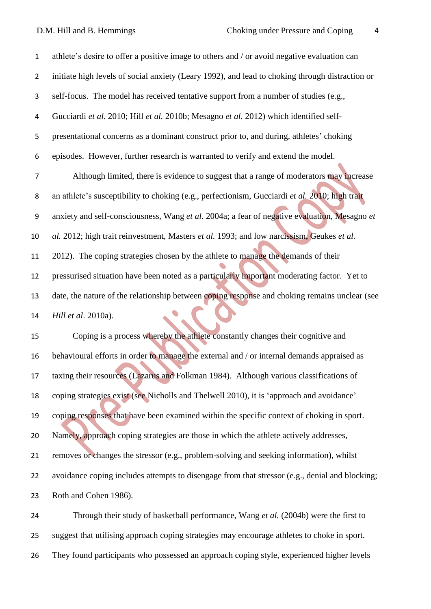athlete's desire to offer a positive image to others and / or avoid negative evaluation can initiate high levels of social anxiety (Leary 1992), and lead to choking through distraction or self-focus. The model has received tentative support from a number of studies (e.g., Gucciardi *et al.* 2010; Hill *et al.* 2010b; Mesagno *et al.* 2012) which identified self- presentational concerns as a dominant construct prior to, and during, athletes' choking episodes. However, further research is warranted to verify and extend the model. Although limited, there is evidence to suggest that a range of moderators may increase an athlete's susceptibility to choking (e.g., perfectionism, Gucciardi *et al.* 2010; high trait anxiety and self-consciousness, Wang *et al.* 2004a; a fear of negative evaluation, Mesagno *et al.* 2012; high trait reinvestment, Masters *et al.* 1993; and low narcissism, Geukes *et al.* 2012). The coping strategies chosen by the athlete to manage the demands of their pressurised situation have been noted as a particularly important moderating factor. Yet to date, the nature of the relationship between coping response and choking remains unclear (see *Hill et al*. 2010a).

 Coping is a process whereby the athlete constantly changes their cognitive and 16 behavioural efforts in order to manage the external and / or internal demands appraised as taxing their resources (Lazarus and Folkman 1984). Although various classifications of coping strategies exist (see Nicholls and Thelwell 2010), it is 'approach and avoidance' coping responses that have been examined within the specific context of choking in sport. 20 Namely, approach coping strategies are those in which the athlete actively addresses, removes or changes the stressor (e.g., problem-solving and seeking information), whilst avoidance coping includes attempts to disengage from that stressor (e.g., denial and blocking; Roth and Cohen 1986).

 Through their study of basketball performance, Wang *et al.* (2004b) were the first to suggest that utilising approach coping strategies may encourage athletes to choke in sport. They found participants who possessed an approach coping style, experienced higher levels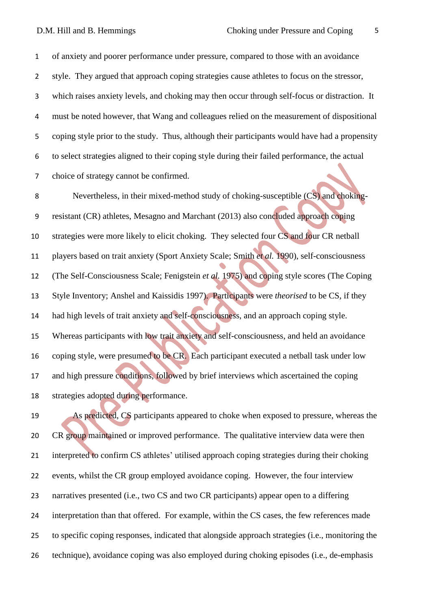of anxiety and poorer performance under pressure, compared to those with an avoidance style. They argued that approach coping strategies cause athletes to focus on the stressor, which raises anxiety levels, and choking may then occur through self-focus or distraction. It must be noted however, that Wang and colleagues relied on the measurement of dispositional coping style prior to the study. Thus, although their participants would have had a propensity to select strategies aligned to their coping style during their failed performance, the actual choice of strategy cannot be confirmed.

 Nevertheless, in their mixed-method study of choking-susceptible (CS) and choking- resistant (CR) athletes, Mesagno and Marchant (2013) also concluded approach coping 10 strategies were more likely to elicit choking. They selected four CS and four CR netball players based on trait anxiety (Sport Anxiety Scale; Smith *et al.* 1990), self-consciousness (The Self-Consciousness Scale; Fenigstein *et al.* 1975) and coping style scores (The Coping Style Inventory; Anshel and Kaissidis 1997). Participants were *theorised* to be CS, if they had high levels of trait anxiety and self-consciousness, and an approach coping style. Whereas participants with low trait anxiety and self-consciousness, and held an avoidance coping style, were presumed to be CR. Each participant executed a netball task under low and high pressure conditions, followed by brief interviews which ascertained the coping strategies adopted during performance.

 As predicted, CS participants appeared to choke when exposed to pressure, whereas the 20 CR group maintained or improved performance. The qualitative interview data were then interpreted to confirm CS athletes' utilised approach coping strategies during their choking events, whilst the CR group employed avoidance coping. However, the four interview narratives presented (i.e., two CS and two CR participants) appear open to a differing interpretation than that offered. For example, within the CS cases, the few references made to specific coping responses, indicated that alongside approach strategies (i.e., monitoring the technique), avoidance coping was also employed during choking episodes (i.e., de-emphasis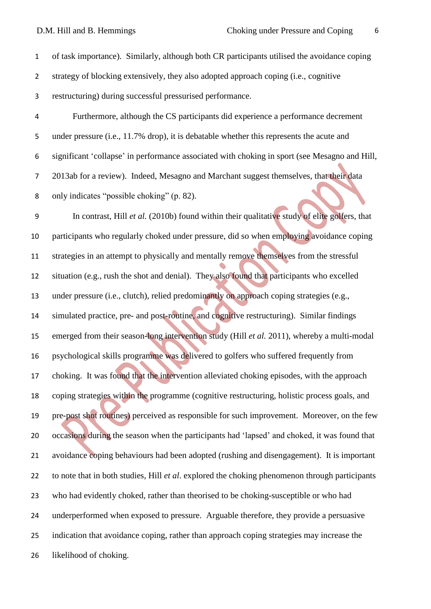of task importance). Similarly, although both CR participants utilised the avoidance coping strategy of blocking extensively, they also adopted approach coping (i.e., cognitive restructuring) during successful pressurised performance.

 Furthermore, although the CS participants did experience a performance decrement under pressure (i.e., 11.7% drop), it is debatable whether this represents the acute and significant 'collapse' in performance associated with choking in sport (see Mesagno and Hill, 2013ab for a review). Indeed, Mesagno and Marchant suggest themselves, that their data only indicates "possible choking" (p. 82).

 In contrast, Hill *et al.* (2010b) found within their qualitative study of elite golfers, that participants who regularly choked under pressure, did so when employing avoidance coping strategies in an attempt to physically and mentally remove themselves from the stressful situation (e.g., rush the shot and denial). They also found that participants who excelled under pressure (i.e., clutch), relied predominantly on approach coping strategies (e.g., simulated practice, pre- and post-routine, and cognitive restructuring). Similar findings emerged from their season-long intervention study (Hill *et al.* 2011), whereby a multi-modal psychological skills programme was delivered to golfers who suffered frequently from choking. It was found that the intervention alleviated choking episodes, with the approach coping strategies within the programme (cognitive restructuring, holistic process goals, and pre-post shot routines) perceived as responsible for such improvement. Moreover, on the few occasions during the season when the participants had 'lapsed' and choked, it was found that avoidance coping behaviours had been adopted (rushing and disengagement). It is important to note that in both studies, Hill *et al*. explored the choking phenomenon through participants who had evidently choked, rather than theorised to be choking-susceptible or who had underperformed when exposed to pressure. Arguable therefore, they provide a persuasive indication that avoidance coping, rather than approach coping strategies may increase the likelihood of choking.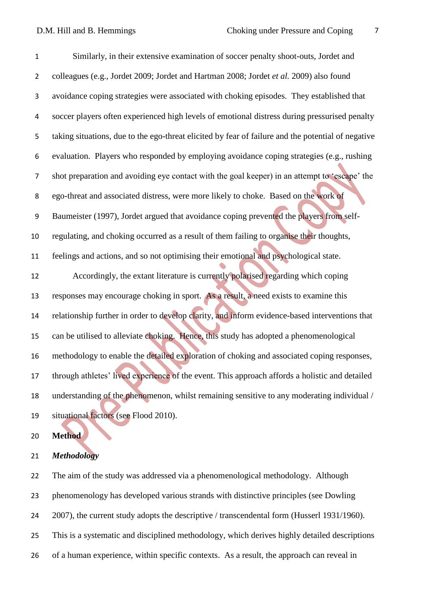Similarly, in their extensive examination of soccer penalty shoot-outs, Jordet and colleagues (e.g., Jordet 2009; Jordet and Hartman 2008; Jordet *et al.* 2009) also found avoidance coping strategies were associated with choking episodes. They established that soccer players often experienced high levels of emotional distress during pressurised penalty taking situations, due to the ego-threat elicited by fear of failure and the potential of negative evaluation. Players who responded by employing avoidance coping strategies (e.g., rushing shot preparation and avoiding eye contact with the goal keeper) in an attempt to 'escape' the ego-threat and associated distress, were more likely to choke. Based on the work of Baumeister (1997), Jordet argued that avoidance coping prevented the players from self- regulating, and choking occurred as a result of them failing to organise their thoughts, feelings and actions, and so not optimising their emotional and psychological state. Accordingly, the extant literature is currently polarised regarding which coping responses may encourage choking in sport. As a result, a need exists to examine this relationship further in order to develop clarity, and inform evidence-based interventions that can be utilised to alleviate choking. Hence, this study has adopted a phenomenological methodology to enable the detailed exploration of choking and associated coping responses, through athletes' lived experience of the event. This approach affords a holistic and detailed understanding of the phenomenon, whilst remaining sensitive to any moderating individual / situational factors (see Flood 2010).

**Method** 

*Methodology*

 The aim of the study was addressed via a phenomenological methodology. Although phenomenology has developed various strands with distinctive principles (see Dowling 24 2007), the current study adopts the descriptive / transcendental form (Husserl 1931/1960). This is a systematic and disciplined methodology, which derives highly detailed descriptions of a human experience, within specific contexts. As a result, the approach can reveal in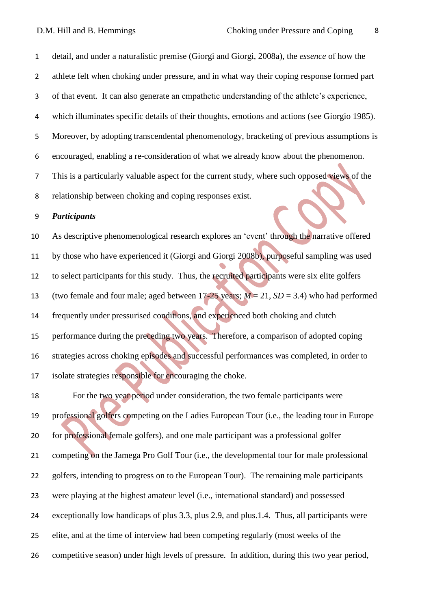detail, and under a naturalistic premise (Giorgi and Giorgi, 2008a), the *essence* of how the 2 athlete felt when choking under pressure, and in what way their coping response formed part of that event. It can also generate an empathetic understanding of the athlete's experience, which illuminates specific details of their thoughts, emotions and actions (see Giorgio 1985). Moreover, by adopting transcendental phenomenology, bracketing of previous assumptions is encouraged, enabling a re-consideration of what we already know about the phenomenon. This is a particularly valuable aspect for the current study, where such opposed views of the relationship between choking and coping responses exist.

# *Participants*

 As descriptive phenomenological research explores an 'event' through the narrative offered by those who have experienced it (Giorgi and Giorgi 2008b), purposeful sampling was used to select participants for this study. Thus, the recruited participants were six elite golfers (two female and four male; aged between 17-25 years; *M* = 21, *SD* = 3.4) who had performed frequently under pressurised conditions, and experienced both choking and clutch performance during the preceding two years. Therefore, a comparison of adopted coping strategies across choking episodes and successful performances was completed, in order to isolate strategies responsible for encouraging the choke.

 For the two year period under consideration, the two female participants were professional golfers competing on the Ladies European Tour (i.e., the leading tour in Europe for professional female golfers), and one male participant was a professional golfer competing on the Jamega Pro Golf Tour (i.e., the developmental tour for male professional golfers, intending to progress on to the European Tour). The remaining male participants were playing at the highest amateur level (i.e., international standard) and possessed exceptionally low handicaps of plus 3.3, plus 2.9, and plus.1.4. Thus, all participants were elite, and at the time of interview had been competing regularly (most weeks of the competitive season) under high levels of pressure. In addition, during this two year period,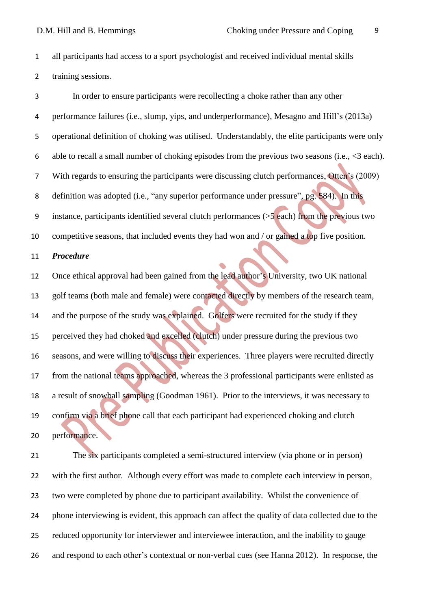all participants had access to a sport psychologist and received individual mental skills

training sessions.

 In order to ensure participants were recollecting a choke rather than any other performance failures (i.e., slump, yips, and underperformance), Mesagno and Hill's (2013a) operational definition of choking was utilised. Understandably, the elite participants were only 6 able to recall a small number of choking episodes from the previous two seasons (i.e.,  $\leq$ 3 each). 7 With regards to ensuring the participants were discussing clutch performances, Otten's (2009) definition was adopted (i.e., "any superior performance under pressure", pg. 584). In this 9 instance, participants identified several clutch performances  $(55 \text{ each})$  from the previous two 10 competitive seasons, that included events they had won and / or gained a top five position.

#### *Procedure*

 Once ethical approval had been gained from the lead author's University, two UK national golf teams (both male and female) were contacted directly by members of the research team, 14 and the purpose of the study was explained. Golfers were recruited for the study if they perceived they had choked and excelled (clutch) under pressure during the previous two seasons, and were willing to discuss their experiences. Three players were recruited directly from the national teams approached, whereas the 3 professional participants were enlisted as a result of snowball sampling (Goodman 1961). Prior to the interviews, it was necessary to confirm via a brief phone call that each participant had experienced choking and clutch performance.

 The six participants completed a semi-structured interview (via phone or in person) with the first author. Although every effort was made to complete each interview in person, two were completed by phone due to participant availability. Whilst the convenience of phone interviewing is evident, this approach can affect the quality of data collected due to the reduced opportunity for interviewer and interviewee interaction, and the inability to gauge and respond to each other's contextual or non-verbal cues (see Hanna 2012). In response, the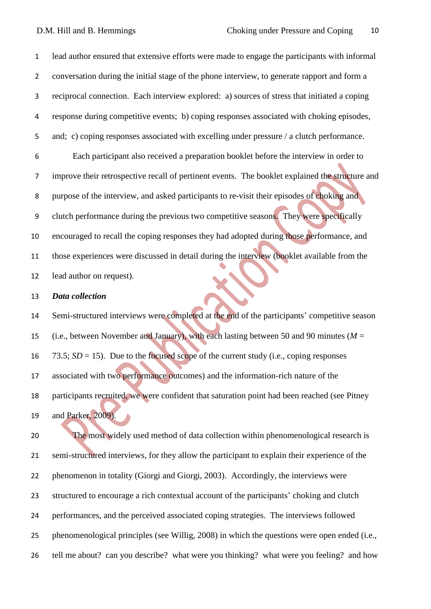lead author ensured that extensive efforts were made to engage the participants with informal conversation during the initial stage of the phone interview, to generate rapport and form a reciprocal connection. Each interview explored: a) sources of stress that initiated a coping response during competitive events; b) coping responses associated with choking episodes, and; c) coping responses associated with excelling under pressure / a clutch performance. Each participant also received a preparation booklet before the interview in order to improve their retrospective recall of pertinent events. The booklet explained the structure and purpose of the interview, and asked participants to re-visit their episodes of choking and clutch performance during the previous two competitive seasons. They were specifically encouraged to recall the coping responses they had adopted during those performance, and those experiences were discussed in detail during the interview (booklet available from the lead author on request).

#### *Data collection*

 Semi-structured interviews were completed at the end of the participants' competitive season (i.e., between November and January), with each lasting between 50 and 90 minutes (*M* = 73.5; *SD* = 15). Due to the focused scope of the current study (i.e., coping responses associated with two performance outcomes) and the information-rich nature of the participants recruited, we were confident that saturation point had been reached (see Pitney and Parker, 2009).

 The most widely used method of data collection within phenomenological research is semi-structured interviews, for they allow the participant to explain their experience of the phenomenon in totality (Giorgi and Giorgi, 2003). Accordingly, the interviews were structured to encourage a rich contextual account of the participants' choking and clutch performances, and the perceived associated coping strategies. The interviews followed phenomenological principles (see Willig, 2008) in which the questions were open ended (i.e., tell me about? can you describe? what were you thinking? what were you feeling? and how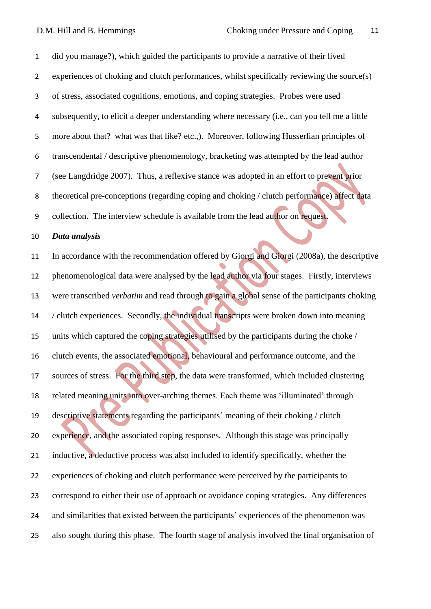did you manage?), which guided the participants to provide a narrative of their lived experiences of choking and clutch performances, whilst specifically reviewing the source(s) of stress, associated cognitions, emotions, and coping strategies. Probes were used subsequently, to elicit a deeper understanding where necessary (i.e., can you tell me a little more about that? what was that like? etc.,). Moreover, following Husserlian principles of transcendental / descriptive phenomenology, bracketing was attempted by the lead author (see Langdridge 2007). Thus, a reflexive stance was adopted in an effort to prevent prior theoretical pre-conceptions (regarding coping and choking / clutch performance) affect data 9 collection. The interview schedule is available from the lead author on request.

#### *Data analysis*

 In accordance with the recommendation offered by Giorgi and Giorgi (2008a), the descriptive phenomenological data were analysed by the lead author via four stages. Firstly, interviews were transcribed *verbatim* and read through to gain a global sense of the participants choking / clutch experiences. Secondly, the individual transcripts were broken down into meaning units which captured the coping strategies utilised by the participants during the choke / clutch events, the associated emotional, behavioural and performance outcome, and the sources of stress. For the third step, the data were transformed, which included clustering related meaning units into over-arching themes. Each theme was 'illuminated' through descriptive statements regarding the participants' meaning of their choking / clutch experience, and the associated coping responses. Although this stage was principally inductive, a deductive process was also included to identify specifically, whether the experiences of choking and clutch performance were perceived by the participants to correspond to either their use of approach or avoidance coping strategies. Any differences and similarities that existed between the participants' experiences of the phenomenon was also sought during this phase. The fourth stage of analysis involved the final organisation of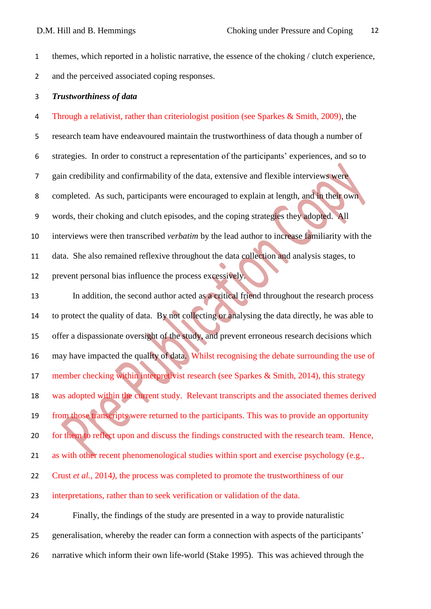- themes, which reported in a holistic narrative, the essence of the choking / clutch experience,
- and the perceived associated coping responses.
- *Trustworthiness of data*

 Through a relativist, rather than criteriologist position (see Sparkes & Smith, 2009), the research team have endeavoured maintain the trustworthiness of data though a number of strategies. In order to construct a representation of the participants' experiences, and so to gain credibility and confirmability of the data, extensive and flexible interviews were completed. As such, participants were encouraged to explain at length, and in their own words, their choking and clutch episodes, and the coping strategies they adopted. All interviews were then transcribed *verbatim* by the lead author to increase familiarity with the data. She also remained reflexive throughout the data collection and analysis stages, to prevent personal bias influence the process excessively.

13 In addition, the second author acted as a critical friend throughout the research process 14 to protect the quality of data. By not collecting or analysing the data directly, he was able to offer a dispassionate oversight of the study, and prevent erroneous research decisions which may have impacted the quality of data. Whilst recognising the debate surrounding the use of 17 member checking within interpretivist research (see Sparkes & Smith, 2014), this strategy was adopted within the current study. Relevant transcripts and the associated themes derived from those transcripts were returned to the participants. This was to provide an opportunity 20 for them to reflect upon and discuss the findings constructed with the research team. Hence, as with other recent phenomenological studies within sport and exercise psychology (e.g., Crust *et al.,* 2014*)*, the process was completed to promote the trustworthiness of our interpretations, rather than to seek verification or validation of the data. Finally, the findings of the study are presented in a way to provide naturalistic

 generalisation, whereby the reader can form a connection with aspects of the participants' narrative which inform their own life-world (Stake 1995). This was achieved through the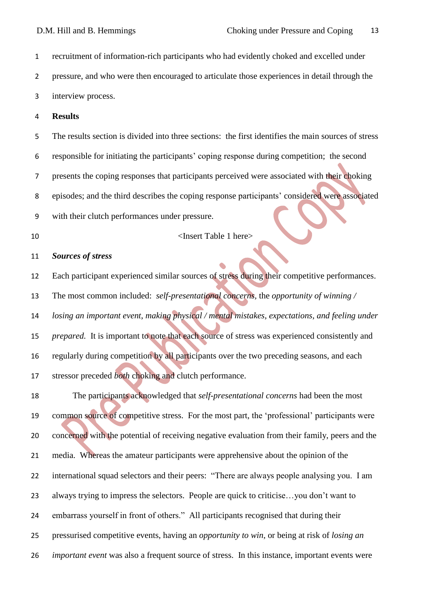recruitment of information-rich participants who had evidently choked and excelled under pressure, and who were then encouraged to articulate those experiences in detail through the interview process.

#### **Results**

 The results section is divided into three sections: the first identifies the main sources of stress responsible for initiating the participants' coping response during competition; the second presents the coping responses that participants perceived were associated with their choking episodes; and the third describes the coping response participants' considered were associated with their clutch performances under pressure.

#### 10 <Insert Table 1 here>

*Sources of stress* 

 Each participant experienced similar sources of stress during their competitive performances. The most common included: *self-presentational concerns,* the *opportunity of winning / losing an important event*, *making physical / mental mistakes*, *expectations, and feeling under prepared.* It is important to note that each source of stress was experienced consistently and regularly during competition by all participants over the two preceding seasons, and each stressor preceded *both* choking and clutch performance.

 The participants acknowledged that *self-presentational concerns* had been the most common source of competitive stress. For the most part, the 'professional' participants were concerned with the potential of receiving negative evaluation from their family, peers and the media. Whereas the amateur participants were apprehensive about the opinion of the international squad selectors and their peers: "There are always people analysing you. I am always trying to impress the selectors. People are quick to criticise…you don't want to embarrass yourself in front of others." All participants recognised that during their pressurised competitive events, having an *opportunity to win*, or being at risk of *losing an important event* was also a frequent source of stress. In this instance, important events were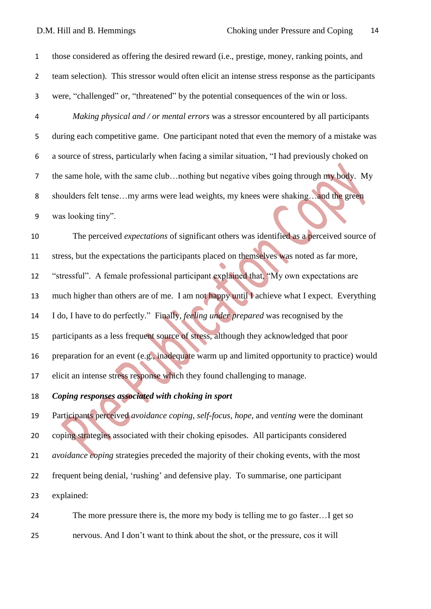those considered as offering the desired reward (i.e., prestige, money, ranking points, and team selection). This stressor would often elicit an intense stress response as the participants were, "challenged" or, "threatened" by the potential consequences of the win or loss. *Making physical and / or mental errors* was a stressor encountered by all participants during each competitive game. One participant noted that even the memory of a mistake was a source of stress, particularly when facing a similar situation, "I had previously choked on the same hole, with the same club…nothing but negative vibes going through my body. My shoulders felt tense…my arms were lead weights, my knees were shaking…and the green was looking tiny". The perceived *expectations* of significant others was identified as a perceived source of stress, but the expectations the participants placed on themselves was noted as far more, "stressful". A female professional participant explained that, "My own expectations are much higher than others are of me. I am not happy until I achieve what I expect. Everything I do, I have to do perfectly." Finally, *feeling under prepared* was recognised by the participants as a less frequent source of stress, although they acknowledged that poor preparation for an event (e.g., inadequate warm up and limited opportunity to practice) would elicit an intense stress response which they found challenging to manage. *Coping responses associated with choking in sport* Participants perceived *avoidance coping*, *self-focus, hope*, and *venting* were the dominant coping strategies associated with their choking episodes. All participants considered *avoidance coping* strategies preceded the majority of their choking events, with the most frequent being denial, 'rushing' and defensive play. To summarise, one participant explained:

 The more pressure there is, the more my body is telling me to go faster…I get so nervous. And I don't want to think about the shot, or the pressure, cos it will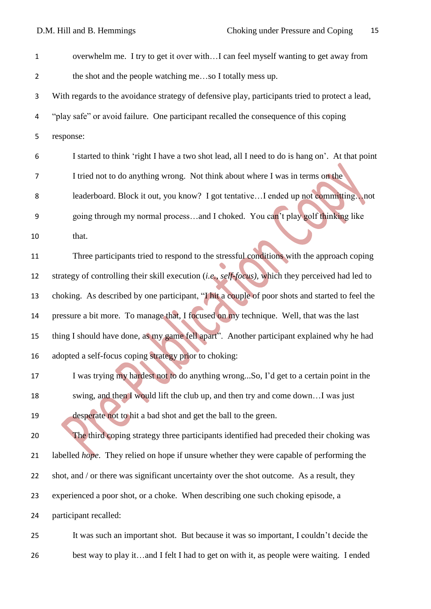overwhelm me. I try to get it over with…I can feel myself wanting to get away from the shot and the people watching me…so I totally mess up. With regards to the avoidance strategy of defensive play, participants tried to protect a lead, "play safe" or avoid failure. One participant recalled the consequence of this coping response: I started to think 'right I have a two shot lead, all I need to do is hang on'. At that point I tried not to do anything wrong. Not think about where I was in terms on the leaderboard. Block it out, you know? I got tentative…I ended up not committing…not going through my normal process…and I choked. You can't play golf thinking like that. Three participants tried to respond to the stressful conditions with the approach coping strategy of controlling their skill execution (*i.e., self-focus),* which they perceived had led to choking. As described by one participant, "I hit a couple of poor shots and started to feel the pressure a bit more. To manage that, I focused on my technique. Well, that was the last 15 thing I should have done, as my game fell apart". Another participant explained why he had adopted a self-focus coping strategy prior to choking: I was trying my hardest not to do anything wrong...So, I'd get to a certain point in the swing, and then I would lift the club up, and then try and come down…I was just desperate not to hit a bad shot and get the ball to the green. The third coping strategy three participants identified had preceded their choking was labelled *hope*. They relied on hope if unsure whether they were capable of performing the 22 shot, and / or there was significant uncertainty over the shot outcome. As a result, they experienced a poor shot, or a choke. When describing one such choking episode, a participant recalled: It was such an important shot. But because it was so important, I couldn't decide the

best way to play it…and I felt I had to get on with it, as people were waiting. I ended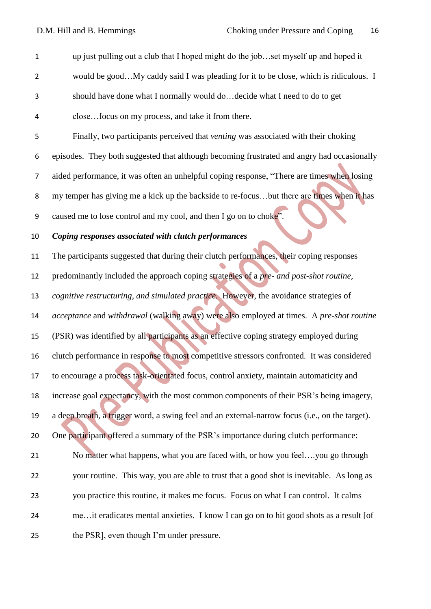up just pulling out a club that I hoped might do the job…set myself up and hoped it would be good…My caddy said I was pleading for it to be close, which is ridiculous. I should have done what I normally would do…decide what I need to do to get close…focus on my process, and take it from there. Finally, two participants perceived that *venting* was associated with their choking episodes. They both suggested that although becoming frustrated and angry had occasionally aided performance, it was often an unhelpful coping response, "There are times when losing my temper has giving me a kick up the backside to re-focus…but there are times when it has caused me to lose control and my cool, and then I go on to choke". *Coping responses associated with clutch performances* The participants suggested that during their clutch performances, their coping responses predominantly included the approach coping strategies of a *pre- and post-shot routine, cognitive restructuring, and simulated practice.* However, the avoidance strategies of *acceptance* and *withdrawal* (walking away) were also employed at times. A *pre-shot routine* (PSR) was identified by all participants as an effective coping strategy employed during clutch performance in response to most competitive stressors confronted. It was considered to encourage a process task-orientated focus, control anxiety, maintain automaticity and increase goal expectancy, with the most common components of their PSR's being imagery, a deep breath, a trigger word, a swing feel and an external-narrow focus (i.e., on the target). 20 One participant offered a summary of the PSR's importance during clutch performance: No matter what happens, what you are faced with, or how you feel….you go through your routine. This way, you are able to trust that a good shot is inevitable. As long as you practice this routine, it makes me focus. Focus on what I can control. It calms me…it eradicates mental anxieties. I know I can go on to hit good shots as a result [of the PSR], even though I'm under pressure.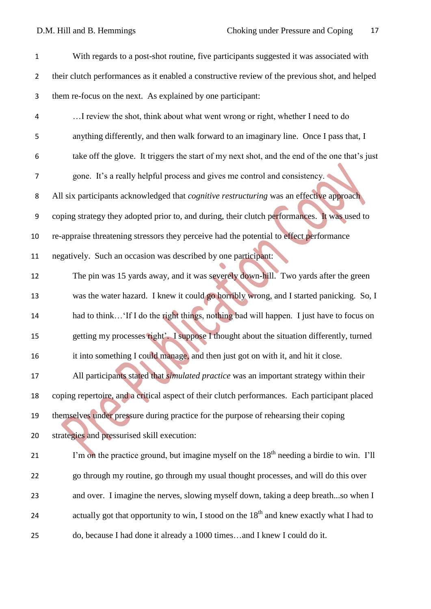| $\mathbf{1}$     | With regards to a post-shot routine, five participants suggested it was associated with         |
|------------------|-------------------------------------------------------------------------------------------------|
| $\overline{2}$   | their clutch performances as it enabled a constructive review of the previous shot, and helped  |
| 3                | them re-focus on the next. As explained by one participant:                                     |
| 4                | I review the shot, think about what went wrong or right, whether I need to do                   |
| 5                | anything differently, and then walk forward to an imaginary line. Once I pass that, I           |
| 6                | take off the glove. It triggers the start of my next shot, and the end of the one that's just   |
| 7                | gone. It's a really helpful process and gives me control and consistency.                       |
| 8                | All six participants acknowledged that <i>cognitive restructuring</i> was an effective approach |
| $\boldsymbol{9}$ | coping strategy they adopted prior to, and during, their clutch performances. It was used to    |
| 10               | re-appraise threatening stressors they perceive had the potential to effect performance         |
| 11               | negatively. Such an occasion was described by one participant:                                  |
| 12               | The pin was 15 yards away, and it was severely down-hill. Two yards after the green             |
| 13               | was the water hazard. I knew it could go horribly wrong, and I started panicking. So, I         |
| 14               | had to think'If I do the right things, nothing bad will happen. I just have to focus on         |
| 15               | getting my processes right'. I suppose I thought about the situation differently, turned        |
| 16               | it into something I could manage, and then just got on with it, and hit it close.               |
| 17               | All participants stated that <i>simulated practice</i> was an important strategy within their   |
| 18               | coping repertoire, and a critical aspect of their clutch performances. Each participant placed  |
| 19               | themselves under pressure during practice for the purpose of rehearsing their coping            |
| 20               | strategies and pressurised skill execution:                                                     |
| 21               | I'm on the practice ground, but imagine myself on the $18th$ needing a birdie to win. I'll      |
| 22               | go through my routine, go through my usual thought processes, and will do this over             |
| 23               | and over. I imagine the nerves, slowing myself down, taking a deep breathso when I              |
| 24               | actually got that opportunity to win, I stood on the $18th$ and knew exactly what I had to      |
| 25               | do, because I had done it already a 1000 timesand I knew I could do it.                         |
|                  |                                                                                                 |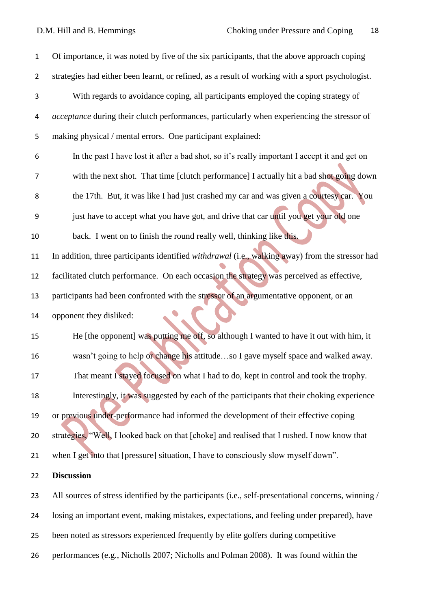| $\mathbf{1}$   | Of importance, it was noted by five of the six participants, that the above approach coping         |
|----------------|-----------------------------------------------------------------------------------------------------|
| $\overline{2}$ | strategies had either been learnt, or refined, as a result of working with a sport psychologist.    |
| 3              | With regards to avoidance coping, all participants employed the coping strategy of                  |
| 4              | <i>acceptance</i> during their clutch performances, particularly when experiencing the stressor of  |
| 5              | making physical / mental errors. One participant explained:                                         |
| 6              | In the past I have lost it after a bad shot, so it's really important I accept it and get on        |
| 7              | with the next shot. That time [clutch performance] I actually hit a bad shot going down             |
| 8              | the 17th. But, it was like I had just crashed my car and was given a courtesy car. You              |
| 9              | just have to accept what you have got, and drive that car until you get your old one                |
| 10             | back. I went on to finish the round really well, thinking like this.                                |
| 11             | In addition, three participants identified withdrawal (i.e., walking away) from the stressor had    |
| 12             | facilitated clutch performance. On each occasion the strategy was perceived as effective,           |
| 13             | participants had been confronted with the stressor of an argumentative opponent, or an              |
| 14             | opponent they disliked:                                                                             |
| 15             | He [the opponent] was putting me off, so although I wanted to have it out with him, it              |
| 16             | wasn't going to help or change his attitudeso I gave myself space and walked away.                  |
| 17             | That meant I stayed focused on what I had to do, kept in control and took the trophy.               |
| 18             | Interestingly, it was suggested by each of the participants that their choking experience           |
| 19             | or previous under-performance had informed the development of their effective coping                |
| 20             | strategies, "Well, I looked back on that [choke] and realised that I rushed. I now know that        |
| 21             | when I get into that [pressure] situation, I have to consciously slow myself down".                 |
| 22             | <b>Discussion</b>                                                                                   |
| 23             | All sources of stress identified by the participants (i.e., self-presentational concerns, winning / |
| 24             | losing an important event, making mistakes, expectations, and feeling under prepared), have         |
| 25             | been noted as stressors experienced frequently by elite golfers during competitive                  |

performances (e.g., Nicholls 2007; Nicholls and Polman 2008). It was found within the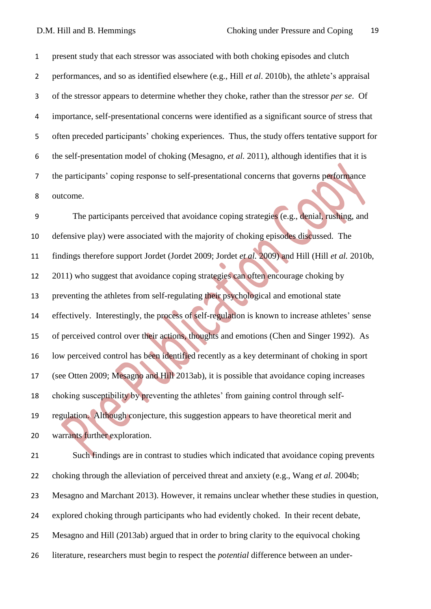present study that each stressor was associated with both choking episodes and clutch performances, and so as identified elsewhere (e.g., Hill *et al*. 2010b), the athlete's appraisal of the stressor appears to determine whether they choke, rather than the stressor *per se*. Of importance, self-presentational concerns were identified as a significant source of stress that often preceded participants' choking experiences. Thus, the study offers tentative support for the self-presentation model of choking (Mesagno, *et al.* 2011), although identifies that it is the participants' coping response to self-presentational concerns that governs performance outcome.

 The participants perceived that avoidance coping strategies (e.g., denial, rushing, and defensive play) were associated with the majority of choking episodes discussed. The findings therefore support Jordet (Jordet 2009; Jordet *et al.* 2009) and Hill (Hill *et al.* 2010b, 2011) who suggest that avoidance coping strategies can often encourage choking by preventing the athletes from self-regulating their psychological and emotional state effectively. Interestingly, the process of self-regulation is known to increase athletes' sense of perceived control over their actions, thoughts and emotions (Chen and Singer 1992). As low perceived control has been identified recently as a key determinant of choking in sport (see Otten 2009; Mesagno and Hill 2013ab), it is possible that avoidance coping increases choking susceptibility by preventing the athletes' from gaining control through self- regulation. Although conjecture, this suggestion appears to have theoretical merit and warrants further exploration.

 Such findings are in contrast to studies which indicated that avoidance coping prevents choking through the alleviation of perceived threat and anxiety (e.g., Wang *et al.* 2004b; Mesagno and Marchant 2013). However, it remains unclear whether these studies in question, explored choking through participants who had evidently choked. In their recent debate, Mesagno and Hill (2013ab) argued that in order to bring clarity to the equivocal choking literature, researchers must begin to respect the *potential* difference between an under-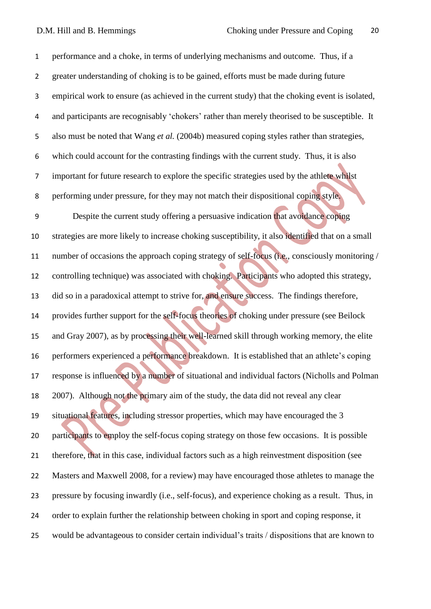performance and a choke, in terms of underlying mechanisms and outcome. Thus, if a greater understanding of choking is to be gained, efforts must be made during future empirical work to ensure (as achieved in the current study) that the choking event is isolated, and participants are recognisably 'chokers' rather than merely theorised to be susceptible. It also must be noted that Wang *et al.* (2004b) measured coping styles rather than strategies, which could account for the contrasting findings with the current study. Thus, it is also important for future research to explore the specific strategies used by the athlete whilst performing under pressure, for they may not match their dispositional coping style. Despite the current study offering a persuasive indication that avoidance coping strategies are more likely to increase choking susceptibility, it also identified that on a small number of occasions the approach coping strategy of self-focus (i.e., consciously monitoring / controlling technique) was associated with choking. Participants who adopted this strategy, 13 did so in a paradoxical attempt to strive for, and ensure success. The findings therefore, provides further support for the self-focus theories of choking under pressure (see Beilock and Gray 2007), as by processing their well-learned skill through working memory, the elite performers experienced a performance breakdown. It is established that an athlete's coping response is influenced by a number of situational and individual factors (Nicholls and Polman 2007). Although not the primary aim of the study, the data did not reveal any clear situational features, including stressor properties, which may have encouraged the 3 20 participants to employ the self-focus coping strategy on those few occasions. It is possible therefore, that in this case, individual factors such as a high reinvestment disposition (see Masters and Maxwell 2008, for a review) may have encouraged those athletes to manage the pressure by focusing inwardly (i.e., self-focus), and experience choking as a result. Thus, in order to explain further the relationship between choking in sport and coping response, it would be advantageous to consider certain individual's traits / dispositions that are known to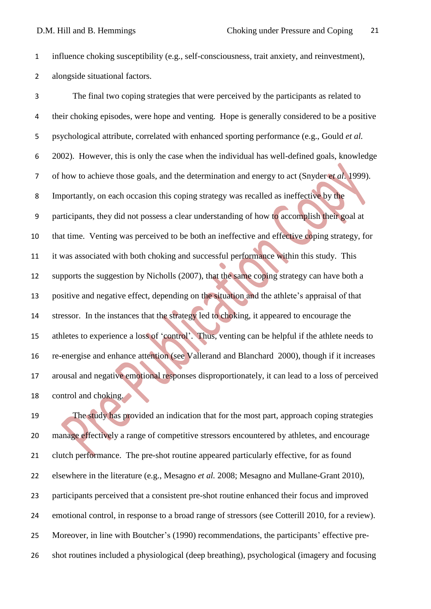influence choking susceptibility (e.g., self-consciousness, trait anxiety, and reinvestment), alongside situational factors.

 The final two coping strategies that were perceived by the participants as related to their choking episodes, were hope and venting. Hope is generally considered to be a positive psychological attribute, correlated with enhanced sporting performance (e.g., Gould *et al.* 2002). However, this is only the case when the individual has well-defined goals, knowledge of how to achieve those goals, and the determination and energy to act (Snyder *et al*. 1999). Importantly, on each occasion this coping strategy was recalled as ineffective by the participants, they did not possess a clear understanding of how to accomplish their goal at that time. Venting was perceived to be both an ineffective and effective coping strategy, for it was associated with both choking and successful performance within this study. This supports the suggestion by Nicholls (2007), that the same coping strategy can have both a positive and negative effect, depending on the situation and the athlete's appraisal of that 14 stressor. In the instances that the strategy led to choking, it appeared to encourage the athletes to experience a loss of 'control'. Thus, venting can be helpful if the athlete needs to re-energise and enhance attention (see Vallerand and Blanchard 2000), though if it increases arousal and negative emotional responses disproportionately, it can lead to a loss of perceived 18 control and choking.

 The study has provided an indication that for the most part, approach coping strategies manage effectively a range of competitive stressors encountered by athletes, and encourage clutch performance. The pre-shot routine appeared particularly effective, for as found elsewhere in the literature (e.g., Mesagno *et al.* 2008; Mesagno and Mullane-Grant 2010), participants perceived that a consistent pre-shot routine enhanced their focus and improved emotional control, in response to a broad range of stressors (see Cotterill 2010, for a review). Moreover, in line with Boutcher's (1990) recommendations, the participants' effective pre-shot routines included a physiological (deep breathing), psychological (imagery and focusing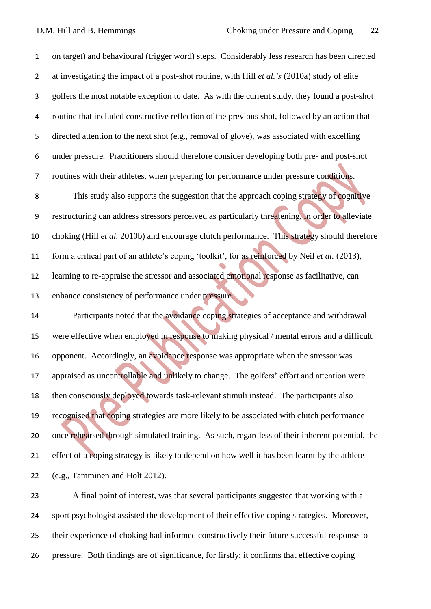on target) and behavioural (trigger word) steps. Considerably less research has been directed at investigating the impact of a post-shot routine, with Hill *et al.'s* (2010a) study of elite golfers the most notable exception to date. As with the current study, they found a post-shot routine that included constructive reflection of the previous shot, followed by an action that directed attention to the next shot (e.g., removal of glove), was associated with excelling under pressure. Practitioners should therefore consider developing both pre- and post-shot routines with their athletes, when preparing for performance under pressure conditions. This study also supports the suggestion that the approach coping strategy of cognitive restructuring can address stressors perceived as particularly threatening, in order to alleviate choking (Hill *et al.* 2010b) and encourage clutch performance. This strategy should therefore form a critical part of an athlete's coping 'toolkit', for as reinforced by Neil *et al.* (2013), learning to re-appraise the stressor and associated emotional response as facilitative, can 13 enhance consistency of performance under pressure. Participants noted that the avoidance coping strategies of acceptance and withdrawal were effective when employed in response to making physical / mental errors and a difficult opponent. Accordingly, an avoidance response was appropriate when the stressor was

 appraised as uncontrollable and unlikely to change. The golfers' effort and attention were then consciously deployed towards task-relevant stimuli instead. The participants also recognised that coping strategies are more likely to be associated with clutch performance once rehearsed through simulated training. As such, regardless of their inherent potential, the effect of a coping strategy is likely to depend on how well it has been learnt by the athlete (e.g., Tamminen and Holt 2012).

 A final point of interest, was that several participants suggested that working with a sport psychologist assisted the development of their effective coping strategies. Moreover, their experience of choking had informed constructively their future successful response to pressure. Both findings are of significance, for firstly; it confirms that effective coping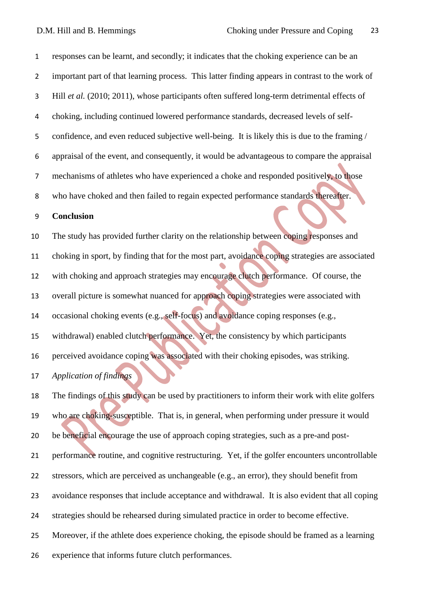responses can be learnt, and secondly; it indicates that the choking experience can be an important part of that learning process. This latter finding appears in contrast to the work of Hill *et al.* (2010; 2011), whose participants often suffered long-term detrimental effects of choking, including continued lowered performance standards, decreased levels of self- confidence, and even reduced subjective well-being. It is likely this is due to the framing / appraisal of the event, and consequently, it would be advantageous to compare the appraisal mechanisms of athletes who have experienced a choke and responded positively, to those who have choked and then failed to regain expected performance standards thereafter. **Conclusion**  The study has provided further clarity on the relationship between coping responses and choking in sport, by finding that for the most part, avoidance coping strategies are associated with choking and approach strategies may encourage clutch performance. Of course, the overall picture is somewhat nuanced for approach coping strategies were associated with occasional choking events (e.g., self-focus) and avoidance coping responses (e.g., withdrawal) enabled clutch performance. Yet, the consistency by which participants perceived avoidance coping was associated with their choking episodes, was striking. *Application of findings*

 The findings of this study can be used by practitioners to inform their work with elite golfers who are choking-susceptible. That is, in general, when performing under pressure it would be beneficial encourage the use of approach coping strategies, such as a pre-and post- performance routine, and cognitive restructuring. Yet, if the golfer encounters uncontrollable stressors, which are perceived as unchangeable (e.g., an error), they should benefit from avoidance responses that include acceptance and withdrawal. It is also evident that all coping strategies should be rehearsed during simulated practice in order to become effective. Moreover, if the athlete does experience choking, the episode should be framed as a learning experience that informs future clutch performances.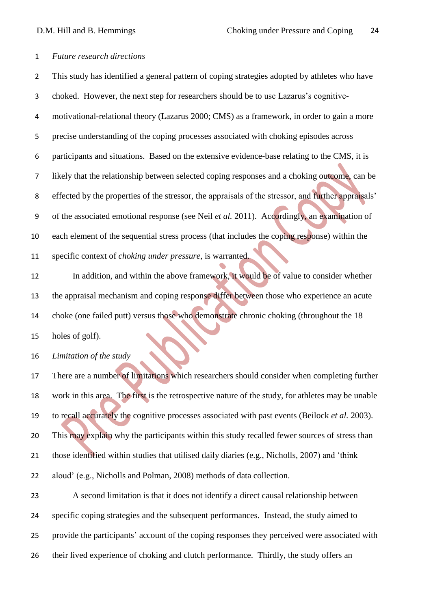### *Future research directions*

 This study has identified a general pattern of coping strategies adopted by athletes who have choked. However, the next step for researchers should be to use Lazarus's cognitive- motivational-relational theory (Lazarus 2000; CMS) as a framework, in order to gain a more precise understanding of the coping processes associated with choking episodes across participants and situations. Based on the extensive evidence-base relating to the CMS, it is likely that the relationship between selected coping responses and a choking outcome, can be effected by the properties of the stressor, the appraisals of the stressor, and further appraisals' of the associated emotional response (see Neil *et al.* 2011). Accordingly, an examination of each element of the sequential stress process (that includes the coping response) within the specific context of *choking under pressure*, is warranted.

 In addition, and within the above framework, it would be of value to consider whether the appraisal mechanism and coping response differ between those who experience an acute choke (one failed putt) versus those who demonstrate chronic choking (throughout the 18 holes of golf).

*Limitation of the study*

 There are a number of limitations which researchers should consider when completing further work in this area. The first is the retrospective nature of the study, for athletes may be unable to recall accurately the cognitive processes associated with past events (Beilock *et al.* 2003). 20 This may explain why the participants within this study recalled fewer sources of stress than those identified within studies that utilised daily diaries (e.g., Nicholls, 2007) and 'think aloud' (e.g., Nicholls and Polman, 2008) methods of data collection.

 A second limitation is that it does not identify a direct causal relationship between specific coping strategies and the subsequent performances. Instead, the study aimed to provide the participants' account of the coping responses they perceived were associated with their lived experience of choking and clutch performance. Thirdly, the study offers an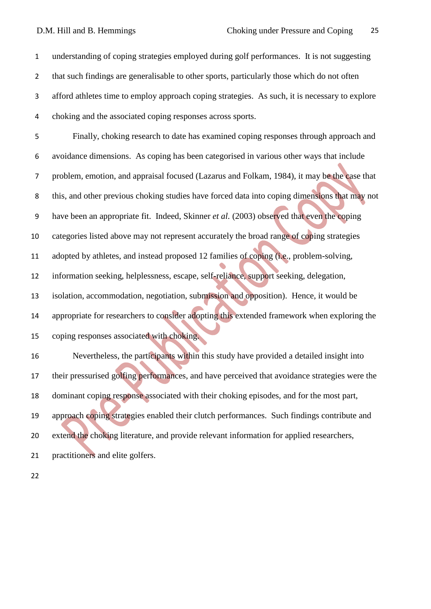understanding of coping strategies employed during golf performances. It is not suggesting that such findings are generalisable to other sports, particularly those which do not often afford athletes time to employ approach coping strategies. As such, it is necessary to explore choking and the associated coping responses across sports.

 Finally, choking research to date has examined coping responses through approach and avoidance dimensions. As coping has been categorised in various other ways that include problem, emotion, and appraisal focused (Lazarus and Folkam, 1984), it may be the case that this, and other previous choking studies have forced data into coping dimensions that may not have been an appropriate fit. Indeed, Skinner *et al.* (2003) observed that even the coping categories listed above may not represent accurately the broad range of coping strategies adopted by athletes, and instead proposed 12 families of coping (i.e., problem-solving, information seeking, helplessness, escape, self-reliance, support seeking, delegation, isolation, accommodation, negotiation, submission and opposition). Hence, it would be 14 appropriate for researchers to consider adopting this extended framework when exploring the coping responses associated with choking. Nevertheless, the participants within this study have provided a detailed insight into their pressurised golfing performances, and have perceived that avoidance strategies were the dominant coping response associated with their choking episodes, and for the most part, approach coping strategies enabled their clutch performances. Such findings contribute and extend the choking literature, and provide relevant information for applied researchers,

21 practitioners and elite golfers.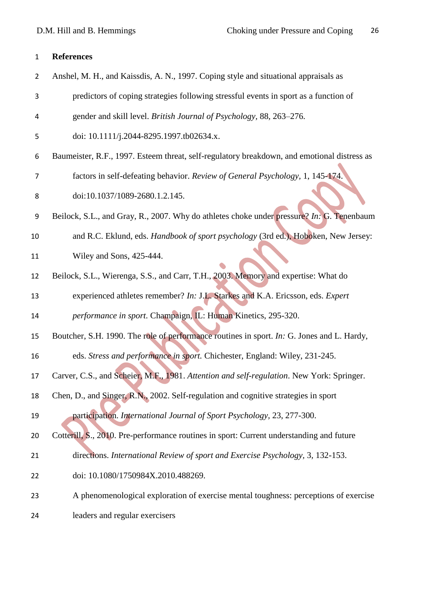## **References**

- Anshel, M. H., and Kaissdis, A. N., 1997. Coping style and situational appraisals as
- predictors of coping strategies following stressful events in sport as a function of
- gender and skill level. *British Journal of Psychology,* 88*,* 263–276.
- doi: 10.1111/j.2044-8295.1997.tb02634.x.
- Baumeister, R.F., 1997. Esteem threat, self-regulatory breakdown, and emotional distress as
- factors in self-defeating behavior. *Review of General Psychology,* 1, 145-174.
- doi:10.1037/1089-2680.1.2.145.
- Beilock, S.L., and Gray, R., 2007. Why do athletes choke under pressure? *In:* G. Tenenbaum
- and R.C. Eklund, eds. *Handbook of sport psychology* (3rd ed.), Hoboken, New Jersey:
- Wiley and Sons, 425-444.
- Beilock, S.L., Wierenga, S.S., and Carr, T.H., 2003. Memory and expertise: What do
- experienced athletes remember? *In:* J.L. Starkes and K.A. Ericsson, eds. *Expert*
- *performance in sport.* Champaign, IL: Human Kinetics, 295-320.
- Boutcher, S.H. 1990. The role of performance routines in sport. *In:* G. Jones and L. Hardy,
- eds. *Stress and performance in sport.* Chichester, England: Wiley, 231-245.
- Carver, C.S., and Scheier, M.F., 1981. *Attention and self-regulation*. New York: Springer.
- Chen, D., and Singer, R.N., 2002. Self-regulation and cognitive strategies in sport

participation. *International Journal of Sport Psychology,* 23, 277-300.

- Cotterill, S., 2010. Pre-performance routines in sport: Current understanding and future
- directions. *International Review of sport and Exercise Psychology,* 3*,* 132-153.
- doi: 10.1080/1750984X.2010.488269.
- A phenomenological exploration of exercise mental toughness: perceptions of exercise
- leaders and regular exercisers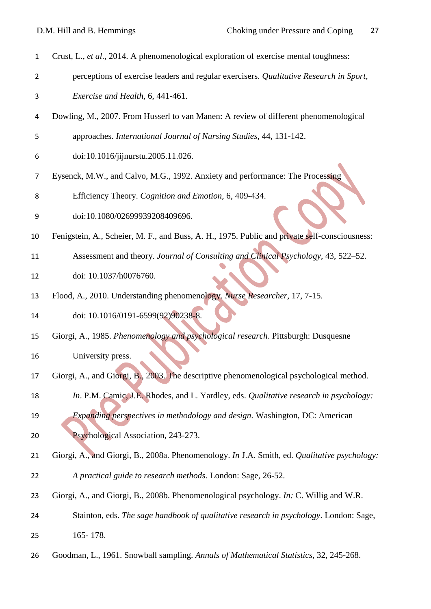Crust, L., *et al*., 2014. A phenomenological exploration of exercise mental toughness:

perceptions of exercise leaders and regular exercisers. *Qualitative Research in Sport,* 

*Exercise and Health,* 6, 441-461.

- Dowling, M., 2007. From Husserl to van Manen: A review of different phenomenological
- approaches. *International Journal of Nursing Studies,* 44, 131-142.
- doi:10.1016/jijnurstu.2005.11.026.
- Eysenck, M.W., and Calvo, M.G., 1992. Anxiety and performance: The Processing
- Efficiency Theory. *Cognition and Emotion,* 6, 409-434.
- doi:10.1080/02699939208409696.
- Fenigstein, A., Scheier, M. F., and Buss, A. H., 1975. Public and private self-consciousness:
- Assessment and theory. *Journal of Consulting and Clinical Psychology,* 43, 522–52.
- 12 doi: 10.1037/h0076760.
- Flood, A., 2010. Understanding phenomenology. *Nurse Researcher,* 17, 7-15.
- 14 doi: 10.1016/0191-6599(92)90238-8.
- Giorgi, A., 1985. *Phenomenology and psychological research*. Pittsburgh: Dusquesne
- University press.
- Giorgi, A., and Giorgi, B., 2003. The descriptive phenomenological psychological method.
- *In*. P.M. Camic, J.E. Rhodes, and L. Yardley, eds. *Qualitative research in psychology:*
- *Expanding perspectives in methodology and design.* Washington, DC: American
- Psychological Association, 243-273.
- Giorgi, A., and Giorgi, B., 2008a. Phenomenology. *In* J.A. Smith, ed. *Qualitative psychology:*
- *A practical guide to research methods.* London: Sage, 26-52.
- Giorgi, A., and Giorgi, B., 2008b. Phenomenological psychology. *In:* C. Willig and W.R.
- Stainton, eds. *The sage handbook of qualitative research in psychology*. London: Sage, 165- 178.
- Goodman, L., 1961. Snowball sampling. *Annals of Mathematical Statistics,* 32, 245-268.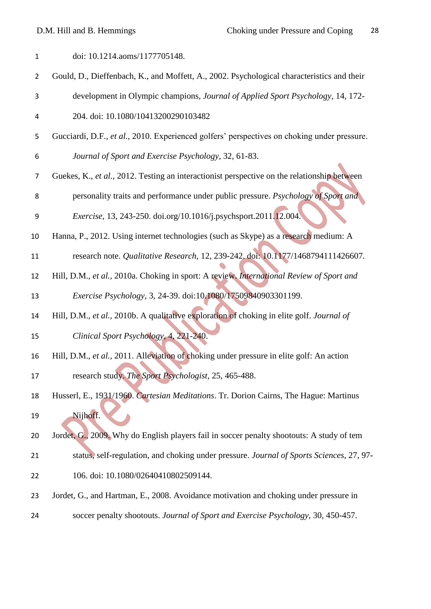doi: 10.1214.aoms/1177705148. Gould, D., Dieffenbach, K., and Moffett, A., 2002. Psychological characteristics and their development in Olympic champions, *[Journal of Applied Sport Psychology,](http://www.ingentaconnect.com/content/routledg/uasp;jsessionid=2cdx1r6l1e2o0.alice)* 14, 172- 204. doi: 10.1080/10413200290103482 Gucciardi, D.F., *et al.,* 2010. [Experienced golfers' perspectives on choking under pressure.](http://hk.humankinetics.com/jsep/viewarticle.cfm?jid=hwDWRbKYyqGMKmzRqpYEZ36nvjXZL7pfaqYLQ33fmpAXU8&aid=17776&site=hwDWRbKYyqGMKmzRqpYEZ36nvjXZL7pfaqYLQ33fmpAXU8) *Journal of Sport and Exercise Psychology,* 32*,* 61-83. Guekes, K., *et al.,* 2012. Testing an interactionist perspective on the relationship between personality traits and performance under public pressure. *Psychology of Sport and Exercise*, 13, 243-250. doi.org/10.1016/j.psychsport.2011.12.004. Hanna, P., 2012. Using internet technologies (such as Skype) as a research medium: A research note. *Qualitative Research,* 12*,* 239-242. doi: 10.1177/1468794111426607. Hill, D.M., *et al.,* 2010a. Choking in sport: A review. *International Review of Sport and Exercise Psychology,* 3, 24-39. doi:10.1080/17509840903301199. Hill, D.M., *et al.,* 2010b. A qualitative exploration of choking in elite golf. *Journal of Clinical Sport Psychology,* 4, 221-240. Hill, D.M., *et al.,* 2011. Alleviation of choking under pressure in elite golf: An action research study. *The Sport Psychologist,* 25*,* 465-488. Husserl, E., 1931/1960. *Cartesian Meditations*. Tr. Dorion Cairns, The Hague: Martinus Nijhoff. 20 Jordet, G., 2009. Why do English players fail in soccer penalty shootouts: A study of tem status, self-regulation, and choking under pressure. *Journal of Sports Sciences,* 27*,* 97- 106. doi: 10.1080/02640410802509144. Jordet, G., and Hartman, E., 2008. Avoidance motivation and choking under pressure in soccer penalty shootouts. *Journal of Sport and Exercise Psychology,* 30, 450-457.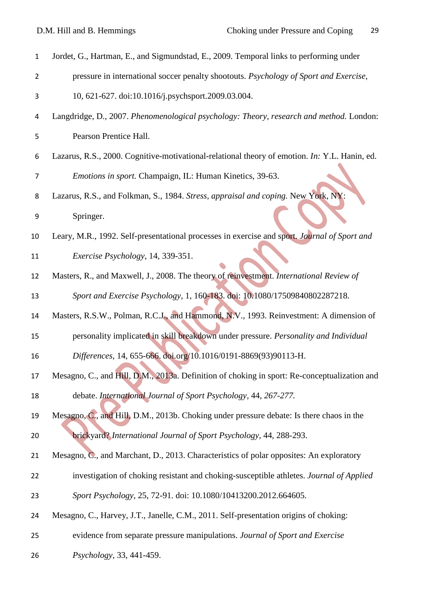- Jordet, G., Hartman, E., and Sigmundstad, E., 2009. Temporal links to performing under
- pressure in international soccer penalty shootouts. *Psychology of Sport and Exercise,*

10, 621-627. doi:10.1016/j.psychsport.2009.03.004.

- Langdridge, D., 2007. *Phenomenological psychology: Theory, research and method.* London:
- Pearson Prentice Hall.
- Lazarus, R.S., 2000. Cognitive-motivational-relational theory of emotion. *In:* Y.L. Hanin, ed.
- *Emotions in sport.* Champaign, IL: Human Kinetics, 39-63.
- Lazarus, R.S., and Folkman, S., 1984. *Stress, appraisal and coping.* New York, NY:
- Springer.
- Leary, M.R., 1992. Self-presentational processes in exercise and sport. *Journal of Sport and*
- *Exercise Psychology,* 14, 339-351.
- Masters, R., and Maxwell, J., 2008. The theory of reinvestment. *International Review of*

*Sport and Exercise Psychology,* 1, 160-183. doi: 10.1080/17509840802287218.

- Masters, R.S.W., Polman, R.C.J., and Hammond, N.V., 1993. Reinvestment: A dimension of
- personality implicated in skill breakdown under pressure. *Personality and Individual*

*Differences,* 14, 655-666. doi.org/10.1016/0191-8869(93)90113-H.

Mesagno, C., and Hill, D.M., 2013a. Definition of choking in sport: Re-conceptualization and

debate. *International Journal of Sport Psychology,* 44, *267-277.*

- Mesagno, C., and Hill, D.M., 2013b. Choking under pressure debate: Is there chaos in the brickyard? *International Journal of Sport Psychology,* 44, 288-293.
- Mesagno, C., and Marchant, D., 2013. Characteristics of polar opposites: An exploratory
- investigation of choking resistant and choking-susceptible athletes. *Journal of Applied*
- *Sport Psychology,* 25, 72-91. doi: 10.1080/10413200.2012.664605.
- Mesagno, C., Harvey, J.T., Janelle, C.M., 2011. Self-presentation origins of choking:
- evidence from separate pressure manipulations. *Journal of Sport and Exercise*
- *Psychology,* 33, 441-459.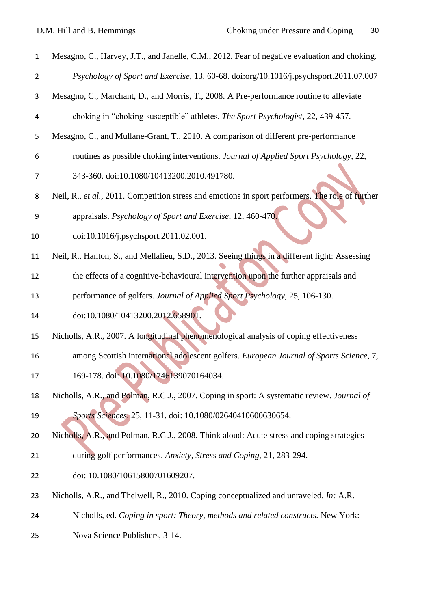| $\mathbf{1}$   | Mesagno, C., Harvey, J.T., and Janelle, C.M., 2012. Fear of negative evaluation and choking.     |
|----------------|--------------------------------------------------------------------------------------------------|
| $\overline{2}$ | Psychology of Sport and Exercise, 13, 60-68. doi:org/10.1016/j.psychsport.2011.07.007            |
| 3              | Mesagno, C., Marchant, D., and Morris, T., 2008. A Pre-performance routine to alleviate          |
| 4              | choking in "choking-susceptible" athletes. The Sport Psychologist, 22, 439-457.                  |
| 5              | Mesagno, C., and Mullane-Grant, T., 2010. A comparison of different pre-performance              |
| 6              | routines as possible choking interventions. Journal of Applied Sport Psychology, 22,             |
| 7              | 343-360. doi:10.1080/10413200.2010.491780.                                                       |
| 8              | Neil, R., et al., 2011. Competition stress and emotions in sport performers. The role of further |
| 9              | appraisals. Psychology of Sport and Exercise, 12, 460-470.                                       |
| 10             | doi:10.1016/j.psychsport.2011.02.001.                                                            |
| 11             | Neil, R., Hanton, S., and Mellalieu, S.D., 2013. Seeing things in a different light: Assessing   |
| 12             | the effects of a cognitive-behavioural intervention upon the further appraisals and              |
| 13             | performance of golfers. Journal of Applied Sport Psychology, 25, 106-130.                        |
| 14             | doi:10.1080/10413200.2012.658901.                                                                |
| 15             | Nicholls, A.R., 2007. A longitudinal phenomenological analysis of coping effectiveness           |
| 16             | among Scottish international adolescent golfers. European Journal of Sports Science, 7,          |
| 17             | 169-178. doi: 10.1080/1746139070164034.                                                          |
| 18             | Nicholls, A.R., and Polman, R.C.J., 2007. Coping in sport: A systematic review. Journal of       |
| 19             | Sports Sciences, 25, 11-31. doi: 10.1080/02640410600630654.                                      |
| 20             | Nicholls, A.R., and Polman, R.C.J., 2008. Think aloud: Acute stress and coping strategies        |
| 21             | during golf performances. Anxiety, Stress and Coping, 21, 283-294.                               |
| 22             | doi: 10.1080/10615800701609207.                                                                  |
| 23             | Nicholls, A.R., and Thelwell, R., 2010. Coping conceptualized and unraveled. In: A.R.            |
| 24             | Nicholls, ed. Coping in sport: Theory, methods and related constructs. New York:                 |
| 25             | Nova Science Publishers, 3-14.                                                                   |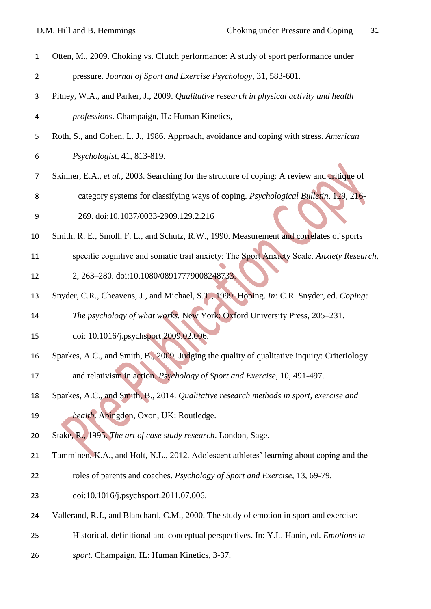- Otten, M., 2009. Choking vs. Clutch performance: A study of sport performance under pressure. *Journal of Sport and Exercise Psychology,* 31, 583-601.
- Pitney, W.A., and Parker, J., 2009. *Qualitative research in physical activity and health professions*. Champaign, IL: Human Kinetics,
- Roth, S., and Cohen, L. J., 1986. Approach, avoidance and coping with stress. *American*
- *Psychologist,* 41, 813-819.
- Skinner, E.A., *et al.,* 2003. Searching for the structure of coping: A review and critique of
- category systems for classifying ways of coping. *Psychological Bulletin*, 129, 216-
- 269. doi:10.1037/0033-2909.129.2.216
- Smith, R. E., Smoll, F. L., and Schutz, R.W., 1990. Measurement and correlates of sports
- specific cognitive and somatic trait anxiety: The Sport Anxiety Scale. *Anxiety Research,*

2, 263–280. doi:10.1080/08917779008248733.

- Snyder, C.R., Cheavens, J., and Michael, S.T., 1999. Hoping. *In:* C.R. Snyder, ed. *Coping:*
- *The psychology of what works.* New York: Oxford University Press, 205–231.
- doi: 10.1016/j.psychsport.2009.02.006.
- Sparkes, A.C., and Smith, B., 2009. Judging the quality of qualitative inquiry: Criteriology
- and relativism in action. *Psychology of Sport and Exercise,* 10, 491-497.
- Sparkes, A.C., and Smith, B., 2014. *Qualitative research methods in sport, exercise and*
- *health*. Abingdon, Oxon, UK: Routledge.
- Stake, R., 1995. *The art of case study research*. London, Sage.
- Tamminen, K.A., and Holt, N.L., 2012. Adolescent athletes' learning about coping and the
- roles of parents and coaches. *Psychology of Sport and Exercise,* 13, 69-79.
- doi:10.1016/j.psychsport.2011.07.006.
- 24 Vallerand, R.J., and Blanchard, C.M., 2000. The study of emotion in sport and exercise:
- Historical, definitional and conceptual perspectives. In: Y.L. Hanin, ed. *Emotions in*
- *sport.* Champaign, IL: Human Kinetics, 3-37.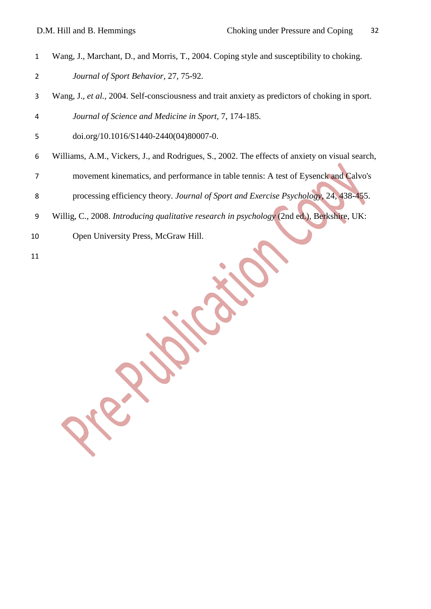Wang, J., Marchant, D., and Morris, T., 2004. [Coping style and susceptibility to choking.](http://web.ebscohost.com/ehost/viewarticle?data=dGJyMPPp44rp2%2fdV0%2bnjisfk5Ie46a9JsKmuUbOk63nn5Kx95uXxjL6orVGtqK5It5avUq%2btuEquls5lpOrweezp33vy3%2b2G59q7RbKrtEy0p7RLsZzqeezdu33snOJ6u%2bbggKTq33%2b7t8w%2b3%2bS7SbGnskuurq8%2b5OXwhd%2fqu37z4uqM4%2b7y&hid=108)

*Journal of Sport Behavior,* 27, 75-92.

Wang, J., *et al.,* 2004. Self-consciousness and trait anxiety as predictors of choking in sport.

*Journal of Science and Medicine in Sport,* 7, 174-185.

doi.org/10.1016/S1440-2440(04)80007-0.

- Williams, A.M., Vickers, J., and Rodrigues, S., 2002. [The effects of anxiety on visual search,](http://web.ebscohost.com/ehost/viewarticle?data=dGJyMPPp44rp2%2fdV0%2bnjisfk5Ie46a9JsKmuUbOk63nn5Kx95uXxjL6orUmvpbBIrq%2beULiqsVKzrJ5Zy5zyit%2fk8Xnh6ueH7N%2fiVauntkm1q7dOsaqkhN%2fk5VXj5KR84LPxS%2bac8nnls79mpNfsVdHGxmurrrNPsau3PuTl8IXf6rt%2b8%2bLqjOPu8gAA&hid=17)
- [movement kinematics, and performance in table tennis: A test of Eysenck and Calvo's](http://web.ebscohost.com/ehost/viewarticle?data=dGJyMPPp44rp2%2fdV0%2bnjisfk5Ie46a9JsKmuUbOk63nn5Kx95uXxjL6orUmvpbBIrq%2beULiqsVKzrJ5Zy5zyit%2fk8Xnh6ueH7N%2fiVauntkm1q7dOsaqkhN%2fk5VXj5KR84LPxS%2bac8nnls79mpNfsVdHGxmurrrNPsau3PuTl8IXf6rt%2b8%2bLqjOPu8gAA&hid=17)
- [processing efficiency theory.](http://web.ebscohost.com/ehost/viewarticle?data=dGJyMPPp44rp2%2fdV0%2bnjisfk5Ie46a9JsKmuUbOk63nn5Kx95uXxjL6orUmvpbBIrq%2beULiqsVKzrJ5Zy5zyit%2fk8Xnh6ueH7N%2fiVauntkm1q7dOsaqkhN%2fk5VXj5KR84LPxS%2bac8nnls79mpNfsVdHGxmurrrNPsau3PuTl8IXf6rt%2b8%2bLqjOPu8gAA&hid=17) *Journal of Sport and Exercise Psychology,* 24*,* 438-455.

Willig, C., 2008. *Introducing qualitative research in psychology* (2nd ed.), Berkshire, UK:

Open University Press, McGraw Hill.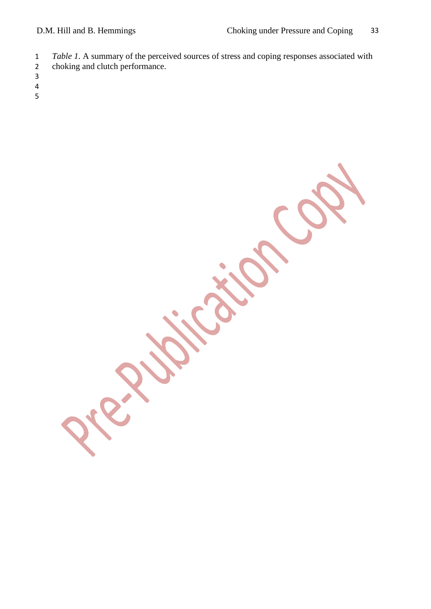- 1 *Table 1.* A summary of the perceived sources of stress and coping responses associated with choking and clutch performance.
- choking and clutch performance.
- 3
- 4
- 5